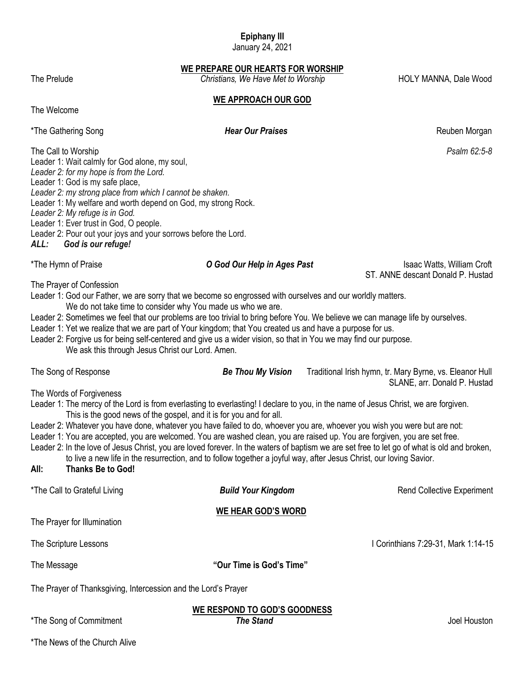# **Epiphany III**

January 24, 2021

**WE PREPARE OUR HEARTS FOR WORSHIP**

The Prelude *Christians, We Have Met to Worship* HOLY MANNA, Dale Wood

**WE APPROACH OUR GOD**

The Welcome

\*The Gathering Song *Hear Our Praises Hear Our Praises* **Reuben Morgan** 

The Call to Worship *Psalm 62:5-8*

Leader 1: Wait calmly for God alone, my soul, *Leader 2: for my hope is from the Lord.*

Leader 1: God is my safe place,

*Leader 2: my strong place from which I cannot be shaken.*

Leader 1: My welfare and worth depend on God, my strong Rock.

*Leader 2: My refuge is in God.*

Leader 1: Ever trust in God, O people.

Leader 2: Pour out your joys and your sorrows before the Lord.

*ALL: God is our refuge!*

\*The Hymn of Praise *O God Our Help in Ages Past* Isaac Watts, William Croft ST. ANNE descant Donald P. Hustad

The Prayer of Confession

Leader 1: God our Father, we are sorry that we become so engrossed with ourselves and our worldly matters. We do not take time to consider why You made us who we are.

Leader 2: Sometimes we feel that our problems are too trivial to bring before You. We believe we can manage life by ourselves.

Leader 1: Yet we realize that we are part of Your kingdom; that You created us and have a purpose for us.

Leader 2: Forgive us for being self-centered and give us a wider vision, so that in You we may find our purpose. We ask this through Jesus Christ our Lord. Amen.

| The Song of Response                                                                                                                                                                                                                                                                                                                                                                                                                                                                                                                                                                                                                                                                                                                                                                                                                        | <b>Be Thou My Vision</b>                         | Traditional Irish hymn, tr. Mary Byrne, vs. Eleanor Hull |  |  |
|---------------------------------------------------------------------------------------------------------------------------------------------------------------------------------------------------------------------------------------------------------------------------------------------------------------------------------------------------------------------------------------------------------------------------------------------------------------------------------------------------------------------------------------------------------------------------------------------------------------------------------------------------------------------------------------------------------------------------------------------------------------------------------------------------------------------------------------------|--------------------------------------------------|----------------------------------------------------------|--|--|
| SLANE, arr. Donald P. Hustad<br>The Words of Forgiveness<br>Leader 1: The mercy of the Lord is from everlasting to everlasting! I declare to you, in the name of Jesus Christ, we are forgiven.<br>This is the good news of the gospel, and it is for you and for all.<br>Leader 2: Whatever you have done, whatever you have failed to do, whoever you are, whoever you wish you were but are not:<br>Leader 1: You are accepted, you are welcomed. You are washed clean, you are raised up. You are forgiven, you are set free.<br>Leader 2: In the love of Jesus Christ, you are loved forever. In the waters of baptism we are set free to let go of what is old and broken,<br>to live a new life in the resurrection, and to follow together a joyful way, after Jesus Christ, our loving Savior.<br><b>Thanks Be to God!</b><br>All: |                                                  |                                                          |  |  |
| *The Call to Grateful Living                                                                                                                                                                                                                                                                                                                                                                                                                                                                                                                                                                                                                                                                                                                                                                                                                | <b>Build Your Kingdom</b>                        | <b>Rend Collective Experiment</b>                        |  |  |
| The Prayer for Illumination                                                                                                                                                                                                                                                                                                                                                                                                                                                                                                                                                                                                                                                                                                                                                                                                                 | WE HEAR GOD'S WORD                               |                                                          |  |  |
| The Scripture Lessons                                                                                                                                                                                                                                                                                                                                                                                                                                                                                                                                                                                                                                                                                                                                                                                                                       |                                                  | I Corinthians 7:29-31, Mark 1:14-15                      |  |  |
| The Message                                                                                                                                                                                                                                                                                                                                                                                                                                                                                                                                                                                                                                                                                                                                                                                                                                 | "Our Time is God's Time"                         |                                                          |  |  |
| The Prayer of Thanksgiving, Intercession and the Lord's Prayer                                                                                                                                                                                                                                                                                                                                                                                                                                                                                                                                                                                                                                                                                                                                                                              |                                                  |                                                          |  |  |
| *The Song of Commitment                                                                                                                                                                                                                                                                                                                                                                                                                                                                                                                                                                                                                                                                                                                                                                                                                     | WE RESPOND TO GOD'S GOODNESS<br><b>The Stand</b> | Joel Houston                                             |  |  |

\*The News of the Church Alive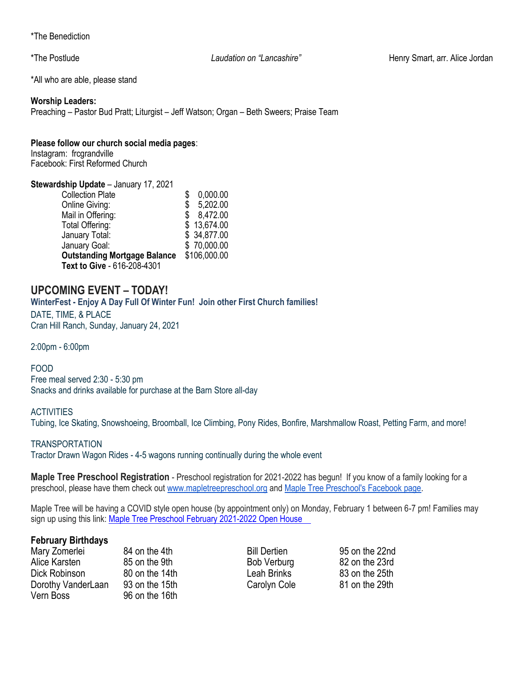\*The Benediction

\*The Postlude *Laudation on "Lancashire"* Henry Smart, arr. Alice Jordan

\*All who are able, please stand

#### **Worship Leaders:**

Preaching – Pastor Bud Pratt; Liturgist – Jeff Watson; Organ – Beth Sweers; Praise Team

#### **Please follow our church social media pages**:

Instagram: frcgrandville Facebook: First Reformed Church

# **Stewardship Update** – January 17, 2021

| <b>Collection Plate</b>             |    | 0,000.00     |
|-------------------------------------|----|--------------|
| <b>Online Giving:</b>               | \$ | 5,202.00     |
| Mail in Offering:                   |    | \$8,472.00   |
| Total Offering:                     |    | \$13,674.00  |
| January Total:                      |    | \$34,877.00  |
| January Goal:                       |    | \$70,000.00  |
| <b>Outstanding Mortgage Balance</b> |    | \$106,000.00 |
| Text to Give - 616-208-4301         |    |              |

# **UPCOMING EVENT – TODAY!**

**WinterFest - Enjoy A Day Full Of Winter Fun! Join other First Church families!** DATE, TIME, & PLACE Cran Hill Ranch, Sunday, January 24, 2021

2:00pm - 6:00pm

#### FOOD

Free meal served 2:30 - 5:30 pm Snacks and drinks available for purchase at the Barn Store all-day

#### **ACTIVITIES**

Tubing, Ice Skating, Snowshoeing, Broomball, Ice Climbing, Pony Rides, Bonfire, Marshmallow Roast, Petting Farm, and more!

#### **TRANSPORTATION**

Tractor Drawn Wagon Rides - 4-5 wagons running continually during the whole event

**Maple Tree Preschool Registration** - Preschool registration for 2021-2022 has begun! If you know of a family looking for a preschool, please have them check out [www.mapletreepreschool.org](http://www.mapletreepreschool.org/) and [Maple Tree Preschool's](https://www.facebook.com/Maple-Tree-Preschool-107534002642706) Facebook page.

Maple Tree will be having a COVID style open house (by appointment only) on Monday, February 1 between 6-7 pm! Families may sign up using this link: Maple Tree Preschool February 2021-2022 Open House

#### **February Birthdays**

Mary Zomerlei 84 on the 4th Bill Dertien 95 on the 22nd Alice Karsten 85 on the 9th Bob Verburg 82 on the 23rd Dick Robinson 80 on the 14th Leah Brinks 83 on the 25th Dorothy VanderLaan 93 on the 15th Carolyn Cole 81 on the 29th Vern Boss 96 on the 16th